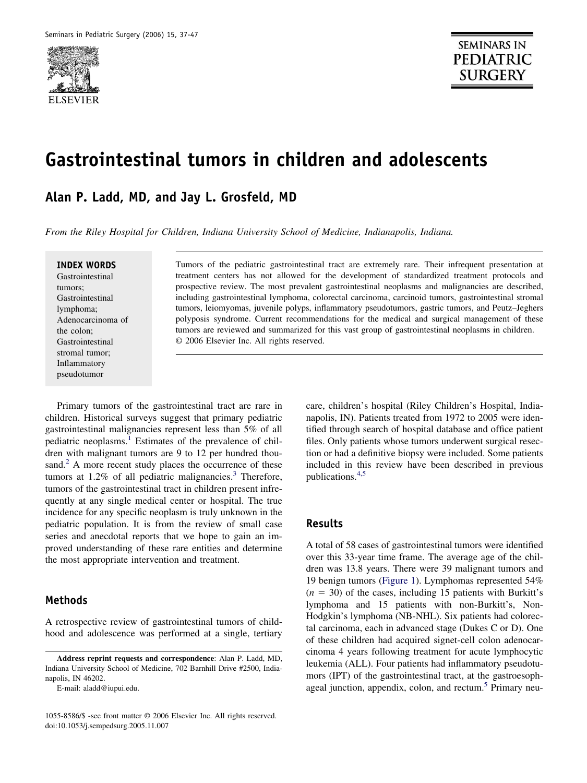

# **Gastrointestinal tumors in children and adolescents**

**Alan P. Ladd, MD, and Jay L. Grosfeld, MD**

*From the Riley Hospital for Children, Indiana University School of Medicine, Indianapolis, Indiana.*

#### **INDEX WORDS**

Gastrointestinal tumors; Gastrointestinal lymphoma; Adenocarcinoma of the colon; Gastrointestinal stromal tumor; Inflammatory pseudotumor

Tumors of the pediatric gastrointestinal tract are extremely rare. Their infrequent presentation at treatment centers has not allowed for the development of standardized treatment protocols and prospective review. The most prevalent gastrointestinal neoplasms and malignancies are described, including gastrointestinal lymphoma, colorectal carcinoma, carcinoid tumors, gastrointestinal stromal tumors, leiomyomas, juvenile polyps, inflammatory pseudotumors, gastric tumors, and Peutz–Jeghers polyposis syndrome. Current recommendations for the medical and surgical management of these tumors are reviewed and summarized for this vast group of gastrointestinal neoplasms in children. © 2006 Elsevier Inc. All rights reserved.

Primary tumors of the gastrointestinal tract are rare in children. Historical surveys suggest that primary pediatric gastrointestinal malignancies represent less than 5% of all pediatric neoplasms.<sup>1</sup> Estimates of the prevalence of children with malignant tumors are 9 to 12 per hundred thousand.<sup>2</sup> A more recent study places the occurrence of these tumors at  $1.2\%$  of all pediatric malignancies.<sup>3</sup> Therefore, tumors of the gastrointestinal tract in children present infrequently at any single medical center or hospital. The true incidence for any specific neoplasm is truly unknown in the pediatric population. It is from the review of small case series and anecdotal reports that we hope to gain an improved understanding of these rare entities and determine the most appropriate intervention and treatment.

## **Methods**

A retrospective review of gastrointestinal tumors of childhood and adolescence was performed at a single, tertiary

E-mail: aladd@iupui.edu.

care, children's hospital (Riley Children's Hospital, Indianapolis, IN). Patients treated from 1972 to 2005 were identified through search of hospital database and office patient files. Only patients whose tumors underwent surgical resection or had a definitive biopsy were included. Some patients included in this review have been described in previous publications[.4,5](#page-9-0)

#### **Results**

A total of 58 cases of gastrointestinal tumors were identified over this 33-year time frame. The average age of the children was 13.8 years. There were 39 malignant tumors and 19 benign tumors [\(Figure 1\)](#page-1-0). Lymphomas represented 54%  $(n = 30)$  of the cases, including 15 patients with Burkitt's lymphoma and 15 patients with non-Burkitt's, Non-Hodgkin's lymphoma (NB-NHL). Six patients had colorectal carcinoma, each in advanced stage (Dukes C or D). One of these children had acquired signet-cell colon adenocarcinoma 4 years following treatment for acute lymphocytic leukemia (ALL). Four patients had inflammatory pseudotumors (IPT) of the gastrointestinal tract, at the gastroesophageal junction, appendix, colon, and rectum.<sup>5</sup> Primary neu-

**Address reprint requests and correspondence**: Alan P. Ladd, MD, Indiana University School of Medicine, 702 Barnhill Drive #2500, Indianapolis, IN 46202.

<sup>1055-8586/\$ -</sup>see front matter © 2006 Elsevier Inc. All rights reserved. doi:10.1053/j.sempedsurg.2005.11.007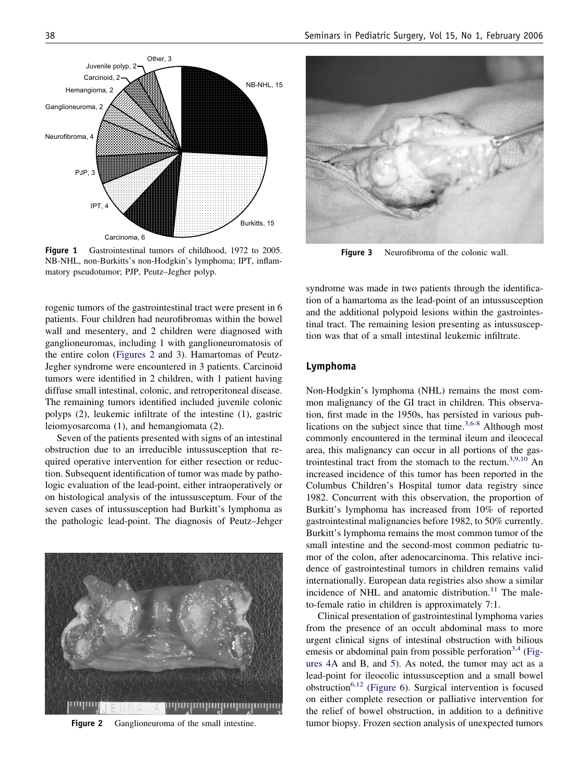<span id="page-1-0"></span>NB-NHL, 15 Burkitts, 15 Carcinoma, 6 IPT, 4 PJP, 3 Neurofibroma, 4 Ganglioneuroma, 2 Hemangioma, 2 Carcinoid, Juvenile polyp, 2 Other, 3

Figure 1 Gastrointestinal tumors of childhood, 1972 to 2005. NB-NHL, non-Burkitts's non-Hodgkin's lymphoma; IPT, inflammatory pseudotumor; PJP, Peutz–Jegher polyp.

rogenic tumors of the gastrointestinal tract were present in 6 patients. Four children had neurofibromas within the bowel wall and mesentery, and 2 children were diagnosed with ganglioneuromas, including 1 with ganglioneuromatosis of the entire colon (Figures 2 and 3). Hamartomas of Peutz-Jegher syndrome were encountered in 3 patients. Carcinoid tumors were identified in 2 children, with 1 patient having diffuse small intestinal, colonic, and retroperitoneal disease. The remaining tumors identified included juvenile colonic polyps (2), leukemic infiltrate of the intestine (1), gastric leiomyosarcoma (1), and hemangiomata (2).

Seven of the patients presented with signs of an intestinal obstruction due to an irreducible intussusception that required operative intervention for either resection or reduction. Subsequent identification of tumor was made by pathologic evaluation of the lead-point, either intraoperatively or on histological analysis of the intussusceptum. Four of the seven cases of intussusception had Burkitt's lymphoma as the pathologic lead-point. The diagnosis of Peutz–Jehger



**Figure 2** Ganglioneuroma of the small intestine.



**Figure 3** Neurofibroma of the colonic wall.

syndrome was made in two patients through the identification of a hamartoma as the lead-point of an intussusception and the additional polypoid lesions within the gastrointestinal tract. The remaining lesion presenting as intussusception was that of a small intestinal leukemic infiltrate.

#### **Lymphoma**

Non-Hodgkin's lymphoma (NHL) remains the most common malignancy of the GI tract in children. This observation, first made in the 1950s, has persisted in various publications on the subject since that time. $3,6-8$  Although most commonly encountered in the terminal ileum and ileocecal area, this malignancy can occur in all portions of the gastrointestinal tract from the stomach to the rectum.<sup>3,9,10</sup> An increased incidence of this tumor has been reported in the Columbus Children's Hospital tumor data registry since 1982. Concurrent with this observation, the proportion of Burkitt's lymphoma has increased from 10% of reported gastrointestinal malignancies before 1982, to 50% currently. Burkitt's lymphoma remains the most common tumor of the small intestine and the second-most common pediatric tumor of the colon, after adenocarcinoma. This relative incidence of gastrointestinal tumors in children remains valid internationally. European data registries also show a similar incidence of NHL and anatomic distribution.<sup>11</sup> The maleto-female ratio in children is approximately 7:1.

Clinical presentation of gastrointestinal lymphoma varies from the presence of an occult abdominal mass to more urgent clinical signs of intestinal obstruction with bilious emesis or abdominal pain from possible perforation<sup>3,4</sup> [\(Fig](#page-2-0)[ures 4A](#page-2-0) and B, and [5\)](#page-2-0). As noted, the tumor may act as a lead-point for ileocolic intussusception and a small bowel obstruction<sup>6,12</sup> [\(Figure 6\)](#page-2-0). Surgical intervention is focused on either complete resection or palliative intervention for the relief of bowel obstruction, in addition to a definitive tumor biopsy. Frozen section analysis of unexpected tumors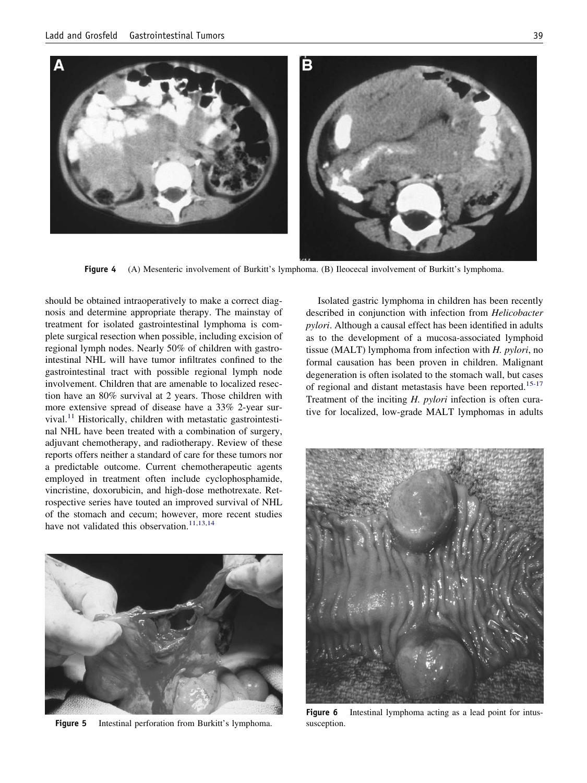<span id="page-2-0"></span>

**Figure 4** (A) Mesenteric involvement of Burkitt's lymphoma. (B) Ileocecal involvement of Burkitt's lymphoma.

should be obtained intraoperatively to make a correct diagnosis and determine appropriate therapy. The mainstay of treatment for isolated gastrointestinal lymphoma is complete surgical resection when possible, including excision of regional lymph nodes. Nearly 50% of children with gastrointestinal NHL will have tumor infiltrates confined to the gastrointestinal tract with possible regional lymph node involvement. Children that are amenable to localized resection have an 80% survival at 2 years. Those children with more extensive spread of disease have a 33% 2-year sur $vival.<sup>11</sup>$  Historically, children with metastatic gastrointestinal NHL have been treated with a combination of surgery, adjuvant chemotherapy, and radiotherapy. Review of these reports offers neither a standard of care for these tumors nor a predictable outcome. Current chemotherapeutic agents employed in treatment often include cyclophosphamide, vincristine, doxorubicin, and high-dose methotrexate. Retrospective series have touted an improved survival of NHL of the stomach and cecum; however, more recent studies have not validated this observation.<sup>11,13,14</sup>



Figure 5 Intestinal perforation from Burkitt's lymphoma.

Isolated gastric lymphoma in children has been recently described in conjunction with infection from *Helicobacter pylori*. Although a causal effect has been identified in adults as to the development of a mucosa-associated lymphoid tissue (MALT) lymphoma from infection with *H. pylori*, no formal causation has been proven in children. Malignant degeneration is often isolated to the stomach wall, but cases of regional and distant metastasis have been reported.<sup>15-17</sup> Treatment of the inciting *H. pylori* infection is often curative for localized, low-grade MALT lymphomas in adults



**Figure 6** Intestinal lymphoma acting as a lead point for intussusception.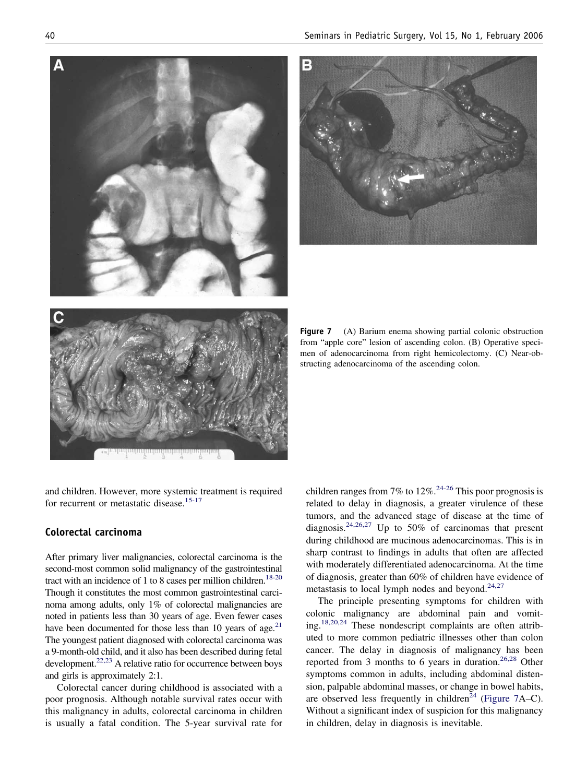and children. However, more systemic treatment is required for recurrent or metastatic disease.<sup>15-17</sup>

## **Colorectal carcinoma**

After primary liver malignancies, colorectal carcinoma is the second-most common solid malignancy of the gastrointestinal tract with an incidence of 1 to 8 cases per million children.<sup>18-20</sup> Though it constitutes the most common gastrointestinal carcinoma among adults, only 1% of colorectal malignancies are noted in patients less than 30 years of age. Even fewer cases have been documented for those less than 10 years of age.<sup>21</sup> The youngest patient diagnosed with colorectal carcinoma was a 9-month-old child, and it also has been described during fetal development.<sup>22,23</sup> A relative ratio for occurrence between boys and girls is approximately 2:1.

Colorectal cancer during childhood is associated with a poor prognosis. Although notable survival rates occur with this malignancy in adults, colorectal carcinoma in children is usually a fatal condition. The 5-year survival rate for

children ranges from 7% to  $12\%$ <sup>24-26</sup> This poor prognosis is related to delay in diagnosis, a greater virulence of these tumors, and the advanced stage of disease at the time of diagnosis.<sup>24,26,27</sup> Up to 50% of carcinomas that present during childhood are mucinous adenocarcinomas. This is in sharp contrast to findings in adults that often are affected with moderately differentiated adenocarcinoma. At the time of diagnosis, greater than 60% of children have evidence of metastasis to local lymph nodes and beyond. $24,27$ 

The principle presenting symptoms for children with colonic malignancy are abdominal pain and vomiting[.18,20,24](#page-9-0) These nondescript complaints are often attributed to more common pediatric illnesses other than colon cancer. The delay in diagnosis of malignancy has been reported from 3 months to 6 years in duration.<sup>26,28</sup> Other symptoms common in adults, including abdominal distension, palpable abdominal masses, or change in bowel habits, are observed less frequently in children<sup>24</sup> (Figure 7A–C). Without a significant index of suspicion for this malignancy in children, delay in diagnosis is inevitable.

from "apple core" lesion of ascending colon. (B) Operative specimen of adenocarcinoma from right hemicolectomy. (C) Near-obstructing adenocarcinoma of the ascending colon.

**Figure 7** (A) Barium enema showing partial colonic obstruction

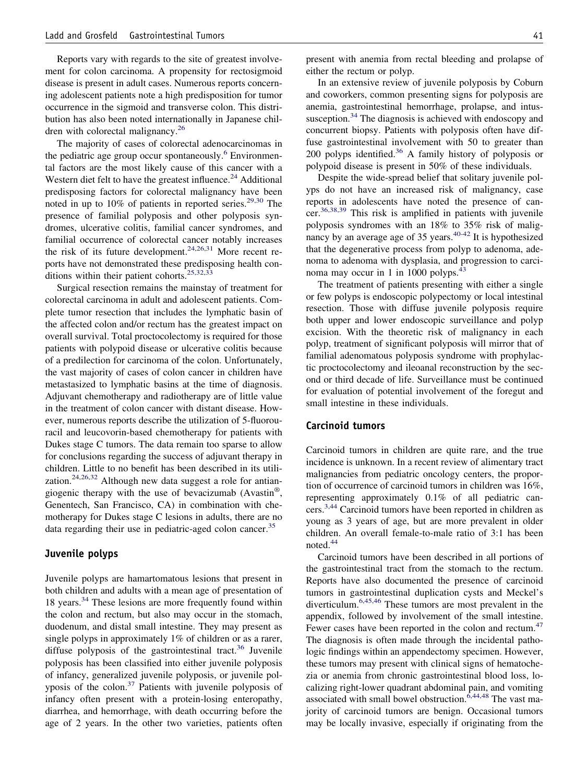Reports vary with regards to the site of greatest involvement for colon carcinoma. A propensity for rectosigmoid disease is present in adult cases. Numerous reports concerning adolescent patients note a high predisposition for tumor occurrence in the sigmoid and transverse colon. This distribution has also been noted internationally in Japanese children with colorectal malignancy.<sup>26</sup>

The majority of cases of colorectal adenocarcinomas in the pediatric age group occur spontaneously.<sup>6</sup> Environmental factors are the most likely cause of this cancer with a Western diet felt to have the greatest influence. $24$  Additional predisposing factors for colorectal malignancy have been noted in up to  $10\%$  of patients in reported series.<sup>29,30</sup> The presence of familial polyposis and other polyposis syndromes, ulcerative colitis, familial cancer syndromes, and familial occurrence of colorectal cancer notably increases the risk of its future development.<sup>24,26,31</sup> More recent reports have not demonstrated these predisposing health conditions within their patient cohorts.<sup>25,32,33</sup>

Surgical resection remains the mainstay of treatment for colorectal carcinoma in adult and adolescent patients. Complete tumor resection that includes the lymphatic basin of the affected colon and/or rectum has the greatest impact on overall survival. Total proctocolectomy is required for those patients with polypoid disease or ulcerative colitis because of a predilection for carcinoma of the colon. Unfortunately, the vast majority of cases of colon cancer in children have metastasized to lymphatic basins at the time of diagnosis. Adjuvant chemotherapy and radiotherapy are of little value in the treatment of colon cancer with distant disease. However, numerous reports describe the utilization of 5-fluorouracil and leucovorin-based chemotherapy for patients with Dukes stage C tumors. The data remain too sparse to allow for conclusions regarding the success of adjuvant therapy in children. Little to no benefit has been described in its utilization.<sup>24,26,32</sup> Although new data suggest a role for antiangiogenic therapy with the use of bevacizumab (Avastin®, Genentech, San Francisco, CA) in combination with chemotherapy for Dukes stage C lesions in adults, there are no data regarding their use in pediatric-aged colon cancer.<sup>35</sup>

## **Juvenile polyps**

Juvenile polyps are hamartomatous lesions that present in both children and adults with a mean age of presentation of 18 years[.34](#page-9-0) These lesions are more frequently found within the colon and rectum, but also may occur in the stomach, duodenum, and distal small intestine. They may present as single polyps in approximately 1% of children or as a rarer, diffuse polyposis of the gastrointestinal tract.<sup>36</sup> Juvenile polyposis has been classified into either juvenile polyposis of infancy, generalized juvenile polyposis, or juvenile polyposis of the colon.<sup>37</sup> Patients with juvenile polyposis of infancy often present with a protein-losing enteropathy, diarrhea, and hemorrhage, with death occurring before the age of 2 years. In the other two varieties, patients often

present with anemia from rectal bleeding and prolapse of either the rectum or polyp.

In an extensive review of juvenile polyposis by Coburn and coworkers, common presenting signs for polyposis are anemia, gastrointestinal hemorrhage, prolapse, and intussusception.<sup>34</sup> The diagnosis is achieved with endoscopy and concurrent biopsy. Patients with polyposis often have diffuse gastrointestinal involvement with 50 to greater than 200 polyps identified. $36$  A family history of polyposis or polypoid disease is present in 50% of these individuals.

Despite the wide-spread belief that solitary juvenile polyps do not have an increased risk of malignancy, case reports in adolescents have noted the presence of cancer[.36,38,39](#page-9-0) This risk is amplified in patients with juvenile polyposis syndromes with an 18% to 35% risk of malignancy by an average age of 35 years.  $40-42$  It is hypothesized that the degenerative process from polyp to adenoma, adenoma to adenoma with dysplasia, and progression to carcinoma may occur in 1 in 1000 polyps.<sup>43</sup>

The treatment of patients presenting with either a single or few polyps is endoscopic polypectomy or local intestinal resection. Those with diffuse juvenile polyposis require both upper and lower endoscopic surveillance and polyp excision. With the theoretic risk of malignancy in each polyp, treatment of significant polyposis will mirror that of familial adenomatous polyposis syndrome with prophylactic proctocolectomy and ileoanal reconstruction by the second or third decade of life. Surveillance must be continued for evaluation of potential involvement of the foregut and small intestine in these individuals.

## **Carcinoid tumors**

Carcinoid tumors in children are quite rare, and the true incidence is unknown. In a recent review of alimentary tract malignancies from pediatric oncology centers, the proportion of occurrence of carcinoid tumors in children was 16%, representing approximately 0.1% of all pediatric cancers[.3,44](#page-9-0) Carcinoid tumors have been reported in children as young as 3 years of age, but are more prevalent in older children. An overall female-to-male ratio of 3:1 has been noted[.44](#page-9-0)

Carcinoid tumors have been described in all portions of the gastrointestinal tract from the stomach to the rectum. Reports have also documented the presence of carcinoid tumors in gastrointestinal duplication cysts and Meckel's diverticulum[.6,45,46](#page-9-0) These tumors are most prevalent in the appendix, followed by involvement of the small intestine. Fewer cases have been reported in the colon and rectum.<sup>47</sup> The diagnosis is often made through the incidental pathologic findings within an appendectomy specimen. However, these tumors may present with clinical signs of hematochezia or anemia from chronic gastrointestinal blood loss, localizing right-lower quadrant abdominal pain, and vomiting associated with small bowel obstruction.  $6,44,48$  The vast majority of carcinoid tumors are benign. Occasional tumors may be locally invasive, especially if originating from the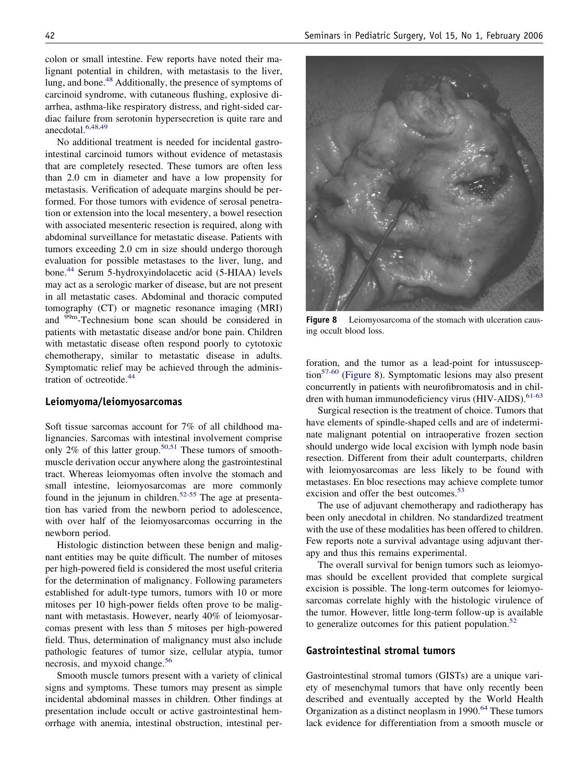colon or small intestine. Few reports have noted their malignant potential in children, with metastasis to the liver, lung, and bone.<sup>48</sup> Additionally, the presence of symptoms of carcinoid syndrome, with cutaneous flushing, explosive diarrhea, asthma-like respiratory distress, and right-sided cardiac failure from serotonin hypersecretion is quite rare and anecdotal.<sup>6,48,49</sup>

No additional treatment is needed for incidental gastrointestinal carcinoid tumors without evidence of metastasis that are completely resected. These tumors are often less than 2.0 cm in diameter and have a low propensity for metastasis. Verification of adequate margins should be performed. For those tumors with evidence of serosal penetration or extension into the local mesentery, a bowel resection with associated mesenteric resection is required, along with abdominal surveillance for metastatic disease. Patients with tumors exceeding 2.0 cm in size should undergo thorough evaluation for possible metastases to the liver, lung, and bone[.44](#page-9-0) Serum 5-hydroxyindolacetic acid (5-HIAA) levels may act as a serologic marker of disease, but are not present in all metastatic cases. Abdominal and thoracic computed tomography (CT) or magnetic resonance imaging (MRI) and <sup>99m</sup>-Technesium bone scan should be considered in patients with metastatic disease and/or bone pain. Children with metastatic disease often respond poorly to cytotoxic chemotherapy, similar to metastatic disease in adults. Symptomatic relief may be achieved through the administration of octreotide.<sup>44</sup>

#### **Leiomyoma/leiomyosarcomas**

Soft tissue sarcomas account for 7% of all childhood malignancies. Sarcomas with intestinal involvement comprise only  $2\%$  of this latter group.<sup>50,51</sup> These tumors of smoothmuscle derivation occur anywhere along the gastrointestinal tract. Whereas leiomyomas often involve the stomach and small intestine, leiomyosarcomas are more commonly found in the jejunum in children.<sup>52-55</sup> The age at presentation has varied from the newborn period to adolescence, with over half of the leiomyosarcomas occurring in the newborn period.

Histologic distinction between these benign and malignant entities may be quite difficult. The number of mitoses per high-powered field is considered the most useful criteria for the determination of malignancy. Following parameters established for adult-type tumors, tumors with 10 or more mitoses per 10 high-power fields often prove to be malignant with metastasis. However, nearly 40% of leiomyosarcomas present with less than 5 mitoses per high-powered field. Thus, determination of malignancy must also include pathologic features of tumor size, cellular atypia, tumor necrosis, and myxoid change.<sup>56</sup>

Smooth muscle tumors present with a variety of clinical signs and symptoms. These tumors may present as simple incidental abdominal masses in children. Other findings at presentation include occult or active gastrointestinal hemorrhage with anemia, intestinal obstruction, intestinal per-



**Figure 8** Leiomyosarcoma of the stomach with ulceration causing occult blood loss.

foration, and the tumor as a lead-point for intussusception<sup>57-60</sup> (Figure 8). Symptomatic lesions may also present concurrently in patients with neurofibromatosis and in children with human immunodeficiency virus (HIV-AIDS).<sup>61-63</sup>

Surgical resection is the treatment of choice. Tumors that have elements of spindle-shaped cells and are of indeterminate malignant potential on intraoperative frozen section should undergo wide local excision with lymph node basin resection. Different from their adult counterparts, children with leiomyosarcomas are less likely to be found with metastases. En bloc resections may achieve complete tumor excision and offer the best outcomes.<sup>53</sup>

The use of adjuvant chemotherapy and radiotherapy has been only anecdotal in children. No standardized treatment with the use of these modalities has been offered to children. Few reports note a survival advantage using adjuvant therapy and thus this remains experimental.

The overall survival for benign tumors such as leiomyomas should be excellent provided that complete surgical excision is possible. The long-term outcomes for leiomyosarcomas correlate highly with the histologic virulence of the tumor. However, little long-term follow-up is available to generalize outcomes for this patient population. $52$ 

#### **Gastrointestinal stromal tumors**

Gastrointestinal stromal tumors (GISTs) are a unique variety of mesenchymal tumors that have only recently been described and eventually accepted by the World Health Organization as a distinct neoplasm in 1990.<sup>64</sup> These tumors lack evidence for differentiation from a smooth muscle or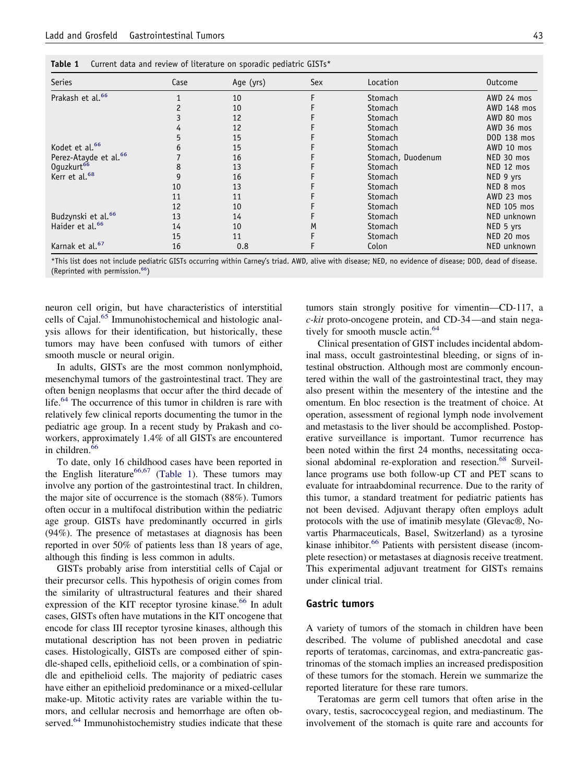| Series                            | Case | Age (yrs) | Sex | Location          | <b>Outcome</b>     |
|-----------------------------------|------|-----------|-----|-------------------|--------------------|
| Prakash et al. <sup>66</sup>      |      | 10        |     | Stomach           | AWD 24 mos         |
|                                   |      | 10        |     | Stomach           | AWD 148 mos        |
|                                   |      | 12        |     | Stomach           | AWD 80 mos         |
|                                   |      | 12        |     | Stomach           | AWD 36 mos         |
|                                   |      | 15        |     | Stomach           | DOD 138 mos        |
| Kodet et al. <sup>66</sup>        |      | 15        |     | Stomach           | AWD 10 mos         |
| Perez-Atayde et al. <sup>66</sup> |      | 16        |     | Stomach, Duodenum | NED 30 mos         |
| Oguzkurt <sup>66</sup>            |      | 13        |     | Stomach           | NED 12 mos         |
| Kerr et al. <sup>68</sup>         |      | 16        |     | Stomach           | NED 9 yrs          |
|                                   | 10   | 13        |     | Stomach           | NED 8 mos          |
|                                   | 11   | 11        |     | Stomach           | AWD 23 mos         |
|                                   | 12   | 10        |     | Stomach           | <b>NED 105 mos</b> |
| Budzynski et al. <sup>66</sup>    | 13   | 14        |     | Stomach           | NED unknown        |
| Haider et al. <sup>66</sup>       | 14   | 10        | M   | Stomach           | NED 5 yrs          |
|                                   | 15   | 11        |     | Stomach           | NED 20 mos         |
| Karnak et al. <sup>67</sup>       | 16   | 0.8       |     | Colon             | NED unknown        |

\*This list does not include pediatric GISTs occurring within Carney's triad. AWD, alive with disease; NED, no evidence of disease; DOD, dead of disease. (Reprinted with permission.<sup>66</sup>)

neuron cell origin, but have characteristics of interstitial cells of Cajal.<sup>65</sup> Immunohistochemical and histologic analysis allows for their identification, but historically, these tumors may have been confused with tumors of either smooth muscle or neural origin.

In adults, GISTs are the most common nonlymphoid, mesenchymal tumors of the gastrointestinal tract. They are often benign neoplasms that occur after the third decade of life.<sup>64</sup> The occurrence of this tumor in children is rare with relatively few clinical reports documenting the tumor in the pediatric age group. In a recent study by Prakash and coworkers, approximately 1.4% of all GISTs are encountered in children.<sup>66</sup>

To date, only 16 childhood cases have been reported in the English literature<sup>66,67</sup> (Table 1). These tumors may involve any portion of the gastrointestinal tract. In children, the major site of occurrence is the stomach (88%). Tumors often occur in a multifocal distribution within the pediatric age group. GISTs have predominantly occurred in girls (94%). The presence of metastases at diagnosis has been reported in over 50% of patients less than 18 years of age, although this finding is less common in adults.

GISTs probably arise from interstitial cells of Cajal or their precursor cells. This hypothesis of origin comes from the similarity of ultrastructural features and their shared expression of the KIT receptor tyrosine kinase.<sup>66</sup> In adult cases, GISTs often have mutations in the KIT oncogene that encode for class III receptor tyrosine kinases, although this mutational description has not been proven in pediatric cases. Histologically, GISTs are composed either of spindle-shaped cells, epithelioid cells, or a combination of spindle and epithelioid cells. The majority of pediatric cases have either an epithelioid predominance or a mixed-cellular make-up. Mitotic activity rates are variable within the tumors, and cellular necrosis and hemorrhage are often observed.<sup>64</sup> Immunohistochemistry studies indicate that these tumors stain strongly positive for vimentin—CD-117, a *c-kit* proto-oncogene protein, and CD-34—and stain negatively for smooth muscle actin.<sup>64</sup>

Clinical presentation of GIST includes incidental abdominal mass, occult gastrointestinal bleeding, or signs of intestinal obstruction. Although most are commonly encountered within the wall of the gastrointestinal tract, they may also present within the mesentery of the intestine and the omentum. En bloc resection is the treatment of choice. At operation, assessment of regional lymph node involvement and metastasis to the liver should be accomplished. Postoperative surveillance is important. Tumor recurrence has been noted within the first 24 months, necessitating occasional abdominal re-exploration and resection.<sup>68</sup> Surveillance programs use both follow-up CT and PET scans to evaluate for intraabdominal recurrence. Due to the rarity of this tumor, a standard treatment for pediatric patients has not been devised. Adjuvant therapy often employs adult protocols with the use of imatinib mesylate (Glevac®, Novartis Pharmaceuticals, Basel, Switzerland) as a tyrosine kinase inhibitor.<sup>66</sup> Patients with persistent disease (incomplete resection) or metastases at diagnosis receive treatment. This experimental adjuvant treatment for GISTs remains under clinical trial.

#### **Gastric tumors**

A variety of tumors of the stomach in children have been described. The volume of published anecdotal and case reports of teratomas, carcinomas, and extra-pancreatic gastrinomas of the stomach implies an increased predisposition of these tumors for the stomach. Herein we summarize the reported literature for these rare tumors.

Teratomas are germ cell tumors that often arise in the ovary, testis, sacrococcygeal region, and mediastinum. The involvement of the stomach is quite rare and accounts for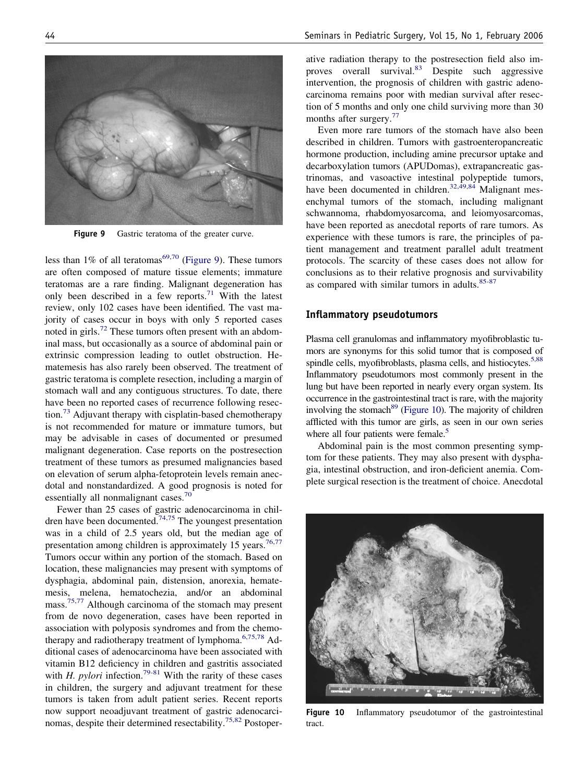

**Figure 9** Gastric teratoma of the greater curve.

less than 1% of all teratomas<sup>69,70</sup> (Figure 9). These tumors are often composed of mature tissue elements; immature teratomas are a rare finding. Malignant degeneration has only been described in a few reports.<sup>71</sup> With the latest review, only 102 cases have been identified. The vast majority of cases occur in boys with only 5 reported cases noted in girls.<sup>72</sup> These tumors often present with an abdominal mass, but occasionally as a source of abdominal pain or extrinsic compression leading to outlet obstruction. Hematemesis has also rarely been observed. The treatment of gastric teratoma is complete resection, including a margin of stomach wall and any contiguous structures. To date, there have been no reported cases of recurrence following resec- $\mu$ <sub>13</sub> Adjuvant therapy with cisplatin-based chemotherapy is not recommended for mature or immature tumors, but may be advisable in cases of documented or presumed malignant degeneration. Case reports on the postresection treatment of these tumors as presumed malignancies based on elevation of serum alpha-fetoprotein levels remain anecdotal and nonstandardized. A good prognosis is noted for essentially all nonmalignant cases.<sup>70</sup>

Fewer than 25 cases of gastric adenocarcinoma in children have been documented.<sup>74,75</sup> The youngest presentation was in a child of 2.5 years old, but the median age of presentation among children is approximately 15 years.<sup>76,77</sup> Tumors occur within any portion of the stomach. Based on location, these malignancies may present with symptoms of dysphagia, abdominal pain, distension, anorexia, hematemesis, melena, hematochezia, and/or an abdominal mass.<sup>75,77</sup> Although carcinoma of the stomach may present from de novo degeneration, cases have been reported in association with polyposis syndromes and from the chemotherapy and radiotherapy treatment of lymphoma. $6,75,78$  Additional cases of adenocarcinoma have been associated with vitamin B12 deficiency in children and gastritis associated with *H. pylori* infection.<sup>79-81</sup> With the rarity of these cases in children, the surgery and adjuvant treatment for these tumors is taken from adult patient series. Recent reports now support neoadjuvant treatment of gastric adenocarcinomas, despite their determined resectability[.75,82](#page-10-0) Postoperative radiation therapy to the postresection field also improves overall survival[.83](#page-10-0) Despite such aggressive intervention, the prognosis of children with gastric adenocarcinoma remains poor with median survival after resection of 5 months and only one child surviving more than 30 months after surgery.<sup>77</sup>

Even more rare tumors of the stomach have also been described in children. Tumors with gastroenteropancreatic hormone production, including amine precursor uptake and decarboxylation tumors (APUDomas), extrapancreatic gastrinomas, and vasoactive intestinal polypeptide tumors, have been documented in children.<sup>32,49,84</sup> Malignant mesenchymal tumors of the stomach, including malignant schwannoma, rhabdomyosarcoma, and leiomyosarcomas, have been reported as anecdotal reports of rare tumors. As experience with these tumors is rare, the principles of patient management and treatment parallel adult treatment protocols. The scarcity of these cases does not allow for conclusions as to their relative prognosis and survivability as compared with similar tumors in adults.<sup>85-87</sup>

## **Inflammatory pseudotumors**

Plasma cell granulomas and inflammatory myofibroblastic tumors are synonyms for this solid tumor that is composed of spindle cells, myofibroblasts, plasma cells, and histiocytes.<sup>5,88</sup> Inflammatory pseudotumors most commonly present in the lung but have been reported in nearly every organ system. Its occurrence in the gastrointestinal tract is rare, with the majority involving the stomach<sup>89</sup> (Figure 10). The majority of children afflicted with this tumor are girls, as seen in our own series where all four patients were female.<sup>5</sup>

Abdominal pain is the most common presenting symptom for these patients. They may also present with dysphagia, intestinal obstruction, and iron-deficient anemia. Complete surgical resection is the treatment of choice. Anecdotal



**Figure 10** Inflammatory pseudotumor of the gastrointestinal tract.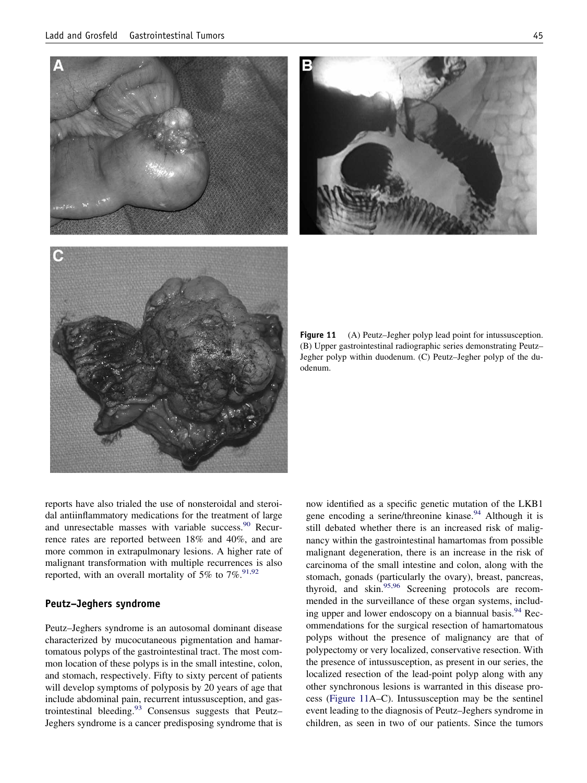



**Figure 11** (A) Peutz–Jegher polyp lead point for intussusception. (B) Upper gastrointestinal radiographic series demonstrating Peutz– Jegher polyp within duodenum. (C) Peutz–Jegher polyp of the duodenum.

reports have also trialed the use of nonsteroidal and steroidal antiinflammatory medications for the treatment of large and unresectable masses with variable success.<sup>90</sup> Recurrence rates are reported between 18% and 40%, and are more common in extrapulmonary lesions. A higher rate of malignant transformation with multiple recurrences is also reported, with an overall mortality of 5% to  $7\%$ .<sup>91,92</sup>

## **Peutz–Jeghers syndrome**

Peutz–Jeghers syndrome is an autosomal dominant disease characterized by mucocutaneous pigmentation and hamartomatous polyps of the gastrointestinal tract. The most common location of these polyps is in the small intestine, colon, and stomach, respectively. Fifty to sixty percent of patients will develop symptoms of polyposis by 20 years of age that include abdominal pain, recurrent intussusception, and gastrointestinal bleeding. $93$  Consensus suggests that Peutz– Jeghers syndrome is a cancer predisposing syndrome that is

now identified as a specific genetic mutation of the LKB1 gene encoding a serine/threonine kinase.<sup>94</sup> Although it is still debated whether there is an increased risk of malignancy within the gastrointestinal hamartomas from possible malignant degeneration, there is an increase in the risk of carcinoma of the small intestine and colon, along with the stomach, gonads (particularly the ovary), breast, pancreas, thyroid, and skin.<sup>95,96</sup> Screening protocols are recommended in the surveillance of these organ systems, including upper and lower endoscopy on a biannual basis.<sup>94</sup> Recommendations for the surgical resection of hamartomatous polyps without the presence of malignancy are that of polypectomy or very localized, conservative resection. With the presence of intussusception, as present in our series, the localized resection of the lead-point polyp along with any other synchronous lesions is warranted in this disease process (Figure 11A–C). Intussusception may be the sentinel event leading to the diagnosis of Peutz–Jeghers syndrome in children, as seen in two of our patients. Since the tumors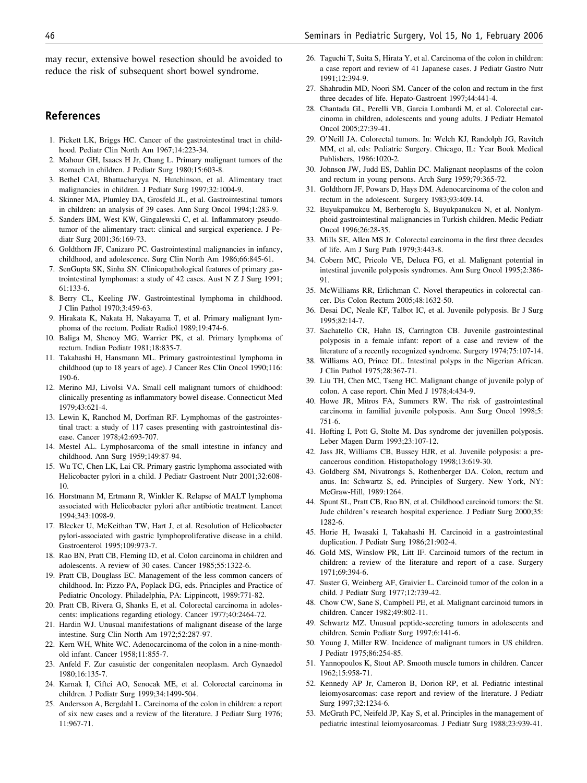<span id="page-9-0"></span>may recur, extensive bowel resection should be avoided to reduce the risk of subsequent short bowel syndrome.

## **References**

- 1. Pickett LK, Briggs HC. Cancer of the gastrointestinal tract in childhood. Pediatr Clin North Am 1967;14:223-34.
- 2. Mahour GH, Isaacs H Jr, Chang L. Primary malignant tumors of the stomach in children. J Pediatr Surg 1980;15:603-8.
- 3. Bethel CAI, Bhattacharyya N, Hutchinson, et al. Alimentary tract malignancies in children. J Pediatr Surg 1997;32:1004-9.
- 4. Skinner MA, Plumley DA, Grosfeld JL, et al. Gastrointestinal tumors in children: an analysis of 39 cases. Ann Surg Oncol 1994;1:283-9.
- 5. Sanders BM, West KW, Gingalewski C, et al. Inflammatory pseudotumor of the alimentary tract: clinical and surgical experience. J Pediatr Surg 2001;36:169-73.
- 6. Goldthorn JF, Canizaro PC. Gastrointestinal malignancies in infancy, childhood, and adolescence. Surg Clin North Am 1986;66:845-61.
- 7. SenGupta SK, Sinha SN. Clinicopathological features of primary gastrointestinal lymphomas: a study of 42 cases. Aust N Z J Surg 1991; 61:133-6.
- 8. Berry CL, Keeling JW. Gastrointestinal lymphoma in childhood. J Clin Pathol 1970;3:459-63.
- 9. Hirakata K, Nakata H, Nakayama T, et al. Primary malignant lymphoma of the rectum. Pediatr Radiol 1989;19:474-6.
- 10. Baliga M, Shenoy MG, Warrier PK, et al. Primary lymphoma of rectum. Indian Pediatr 1981;18:835-7.
- 11. Takahashi H, Hansmann ML. Primary gastrointestinal lymphoma in childhood (up to 18 years of age). J Cancer Res Clin Oncol 1990;116: 190-6.
- 12. Merino MJ, Livolsi VA. Small cell malignant tumors of childhood: clinically presenting as inflammatory bowel disease. Connecticut Med 1979;43:621-4.
- 13. Lewin K, Ranchod M, Dorfman RF. Lymphomas of the gastrointestinal tract: a study of 117 cases presenting with gastrointestinal disease. Cancer 1978;42:693-707.
- 14. Mestel AL. Lymphosarcoma of the small intestine in infancy and childhood. Ann Surg 1959;149:87-94.
- 15. Wu TC, Chen LK, Lai CR. Primary gastric lymphoma associated with Helicobacter pylori in a child. J Pediatr Gastroent Nutr 2001;32:608- 10.
- 16. Horstmann M, Ertmann R, Winkler K. Relapse of MALT lymphoma associated with Helicobacter pylori after antibiotic treatment. Lancet 1994;343:1098-9.
- 17. Blecker U, McKeithan TW, Hart J, et al. Resolution of Helicobacter pylori-associated with gastric lymphoproliferative disease in a child. Gastroenterol 1995;109:973-7.
- 18. Rao BN, Pratt CB, Fleming ID, et al. Colon carcinoma in children and adolescents. A review of 30 cases. Cancer 1985;55:1322-6.
- 19. Pratt CB, Douglass EC. Management of the less common cancers of childhood. In: Pizzo PA, Poplack DG, eds. Principles and Practice of Pediatric Oncology. Philadelphia, PA: Lippincott, 1989:771-82.
- 20. Pratt CB, Rivera G, Shanks E, et al. Colorectal carcinoma in adolescents: implications regarding etiology. Cancer 1977;40:2464-72.
- 21. Hardin WJ. Unusual manifestations of malignant disease of the large intestine. Surg Clin North Am 1972;52:287-97.
- 22. Kern WH, White WC. Adenocarcinoma of the colon in a nine-monthold infant. Cancer 1958;11:855-7.
- 23. Anfeld F. Zur casuistic der congenitalen neoplasm. Arch Gynaedol 1980;16:135-7.
- 24. Karnak I, Ciftci AO, Senocak ME, et al. Colorectal carcinoma in children. J Pediatr Surg 1999;34:1499-504.
- 25. Andersson A, Bergdahl L. Carcinoma of the colon in children: a report of six new cases and a review of the literature. J Pediatr Surg 1976; 11:967-71.
- 26. Taguchi T, Suita S, Hirata Y, et al. Carcinoma of the colon in children: a case report and review of 41 Japanese cases. J Pediatr Gastro Nutr 1991;12:394-9.
- 27. Shahrudin MD, Noori SM. Cancer of the colon and rectum in the first three decades of life. Hepato-Gastroent 1997;44:441-4.
- 28. Chantada GL, Perelli VB, Garcia Lombardi M, et al. Colorectal carcinoma in children, adolescents and young adults. J Pediatr Hematol Oncol 2005;27:39-41.
- 29. O'Neill JA. Colorectal tumors. In: Welch KJ, Randolph JG, Ravitch MM, et al, eds: Pediatric Surgery. Chicago, IL: Year Book Medical Publishers, 1986:1020-2.
- 30. Johnson JW, Judd ES, Dahlin DC. Malignant neoplasms of the colon and rectum in young persons. Arch Surg 1959;79:365-72.
- 31. Goldthorn JF, Powars D, Hays DM. Adenocarcinoma of the colon and rectum in the adolescent. Surgery 1983;93:409-14.
- 32. Buyukpamukcu M, Berberoglu S, Buyukpanukcu N, et al. Nonlymphoid gastrointestinal malignancies in Turkish children. Medic Pediatr Oncol 1996;26:28-35.
- 33. Mills SE, Allen MS Jr. Colorectal carcinoma in the first three decades of life. Am J Surg Path 1979;3:443-8.
- 34. Cobern MC, Pricolo VE, Deluca FG, et al. Malignant potential in intestinal juvenile polyposis syndromes. Ann Surg Oncol 1995;2:386- 91.
- 35. McWilliams RR, Erlichman C. Novel therapeutics in colorectal cancer. Dis Colon Rectum 2005;48:1632-50.
- 36. Desai DC, Neale KF, Talbot IC, et al. Juvenile polyposis. Br J Surg 1995;82:14-7.
- 37. Sachatello CR, Hahn IS, Carrington CB. Juvenile gastrointestinal polyposis in a female infant: report of a case and review of the literature of a recently recognized syndrome. Surgery 1974;75:107-14.
- 38. Williams AO, Prince DL. Intestinal polyps in the Nigerian African. J Clin Pathol 1975;28:367-71.
- 39. Liu TH, Chen MC, Tseng HC. Malignant change of juvenile polyp of colon. A case report. Chin Med J 1978;4:434-9.
- 40. Howe JR, Mitros FA, Summers RW. The risk of gastrointestinal carcinoma in familial juvenile polyposis. Ann Surg Oncol 1998;5: 751-6.
- 41. Hofting I, Pott G, Stolte M. Das syndrome der juvenillen polyposis. Leber Magen Darm 1993;23:107-12.
- 42. Jass JR, Williams CB, Bussey HJR, et al. Juvenile polyposis: a precancerous condition. Histopathology 1998;13:619-30.
- 43. Goldberg SM, Nivatrongs S, Rothenberger DA. Colon, rectum and anus. In: Schwartz S, ed. Principles of Surgery. New York, NY: McGraw-Hill, 1989:1264.
- 44. Spunt SL, Pratt CB, Rao BN, et al. Childhood carcinoid tumors: the St. Jude children's research hospital experience. J Pediatr Surg 2000;35: 1282-6.
- 45. Horie H, Iwasaki I, Takahashi H. Carcinoid in a gastrointestinal duplication. J Pediatr Surg 1986;21:902-4.
- 46. Gold MS, Winslow PR, Litt IF. Carcinoid tumors of the rectum in children: a review of the literature and report of a case. Surgery 1971;69:394-6.
- 47. Suster G, Weinberg AF, Graivier L. Carcinoid tumor of the colon in a child. J Pediatr Surg 1977;12:739-42.
- 48. Chow CW, Sane S, Campbell PE, et al. Malignant carcinoid tumors in children. Cancer 1982;49:802-11.
- 49. Schwartz MZ. Unusual peptide-secreting tumors in adolescents and children. Semin Pediatr Surg 1997;6:141-6.
- 50. Young J, Miller RW. Incidence of malignant tumors in US children. J Pediatr 1975;86:254-85.
- 51. Yannopoulos K, Stout AP. Smooth muscle tumors in children. Cancer 1962;15:958-71.
- 52. Kennedy AP Jr, Cameron B, Dorion RP, et al. Pediatric intestinal leiomyosarcomas: case report and review of the literature. J Pediatr Surg 1997;32:1234-6.
- 53. McGrath PC, Neifeld JP, Kay S, et al. Principles in the management of pediatric intestinal leiomyosarcomas. J Pediatr Surg 1988;23:939-41.